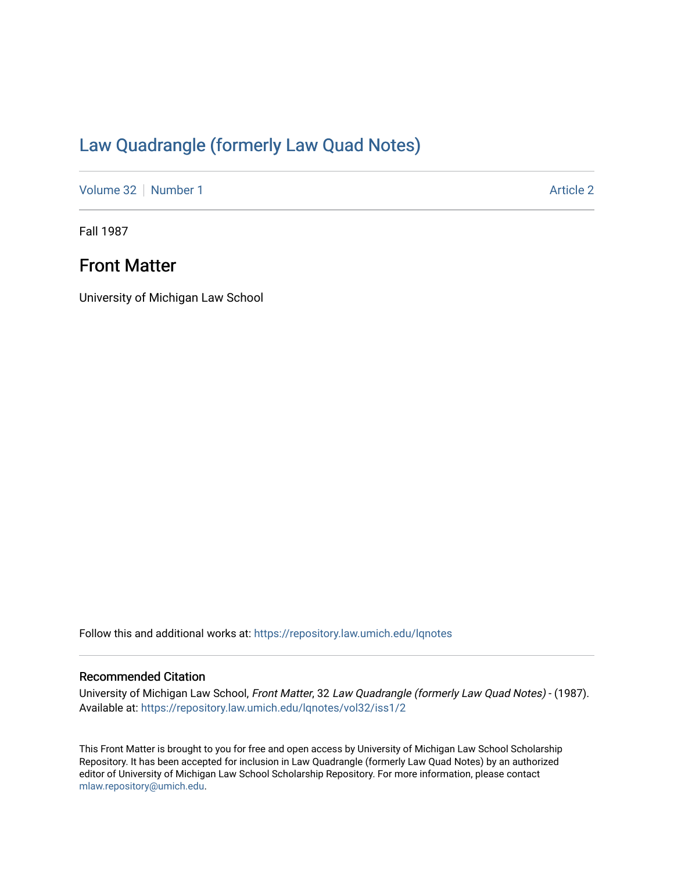# [Law Quadrangle \(formerly Law Quad Notes\)](https://repository.law.umich.edu/lqnotes)

[Volume 32](https://repository.law.umich.edu/lqnotes/vol32) [Number 1](https://repository.law.umich.edu/lqnotes/vol32/iss1) [Article 2](https://repository.law.umich.edu/lqnotes/vol32/iss1/2) Article 2

Fall 1987

## Front Matter

University of Michigan Law School

Follow this and additional works at: [https://repository.law.umich.edu/lqnotes](https://repository.law.umich.edu/lqnotes?utm_source=repository.law.umich.edu%2Flqnotes%2Fvol32%2Fiss1%2F2&utm_medium=PDF&utm_campaign=PDFCoverPages) 

#### Recommended Citation

University of Michigan Law School, Front Matter, 32 Law Quadrangle (formerly Law Quad Notes) - (1987). Available at: [https://repository.law.umich.edu/lqnotes/vol32/iss1/2](https://repository.law.umich.edu/lqnotes/vol32/iss1/2?utm_source=repository.law.umich.edu%2Flqnotes%2Fvol32%2Fiss1%2F2&utm_medium=PDF&utm_campaign=PDFCoverPages) 

This Front Matter is brought to you for free and open access by University of Michigan Law School Scholarship Repository. It has been accepted for inclusion in Law Quadrangle (formerly Law Quad Notes) by an authorized editor of University of Michigan Law School Scholarship Repository. For more information, please contact [mlaw.repository@umich.edu.](mailto:mlaw.repository@umich.edu)